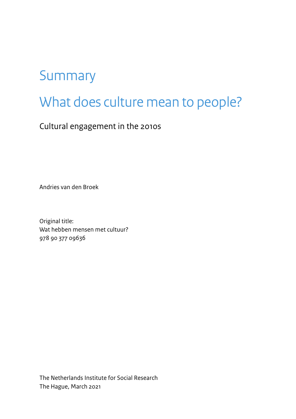# Summary

# What does culture mean to people?

Cultural engagement in the 2010s

Andries van den Broek

Original title: Wat hebben mensen met cultuur? 978 90 377 09636

The Netherlands Institute for Social Research The Hague, March 2021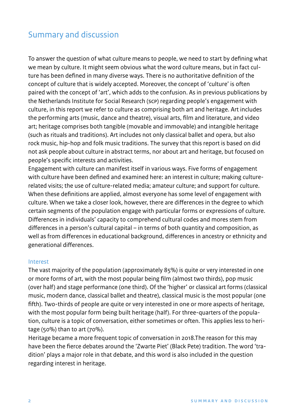# Summary and discussion

To answer the question of what culture means to people, we need to start by defining what we mean by culture. It might seem obvious what the word culture means, but in fact culture has been defined in many diverse ways. There is no authoritative definition of the concept of culture that is widely accepted. Moreover, the concept of 'culture' is often paired with the concept of 'art', which adds to the confusion. As in previous publications by the Netherlands Institute for Social Research (SCP) regarding people's engagement with culture, in this report we refer to culture as comprising both art and heritage. Art includes the performing arts (music, dance and theatre), visual arts, film and literature, and video art; heritage comprises both tangible (movable and immovable) and intangible heritage (such as rituals and traditions). Art includes not only classical ballet and opera, but also rock music, hip-hop and folk music traditions. The survey that this report is based on did not ask people about culture in abstract terms, nor about art and heritage, but focused on people's specific interests and activities.

Engagement with culture can manifest itself in various ways. Five forms of engagement with culture have been defined and examined here: an interest in culture: making culturerelated visits; the use of culture-related media; amateur culture; and support for culture. When these definitions are applied, almost everyone has some level of engagement with culture. When we take a closer look, however, there are differences in the degree to which certain segments of the population engage with particular forms or expressions of culture. Differences in individuals' capacity to comprehend cultural codes and mores stem from  $d$ ifferences in a person's cultural capital – in terms of both quantity and composition, as well as from differences in educational background, differences in ancestry or ethnicity and generational differences.

#### Interest

The vast majority of the population (approximately 85%) is quite or very interested in one or more forms of art, with the most popular being film (almost two thirds), pop music (over half) and stage performance (one third). Of the 'higher' or classical art forms (classical music, modern dance, classical ballet and theatre), classical music is the most popular (one fifth). Two-thirds of people are quite or very interested in one or more aspects of heritage, with the most popular form being built heritage (half). For three-quarters of the population, culture is a topic of conversation, either sometimes or often. This applies less to heritage (50%) than to art (70%).

Heritage became a more frequent topic of conversation in 2018.The reason for this may have been the fierce debates around the 'Zwarte Piet' (Black Pete) tradition. The word 'tradition' plays a major role in that debate, and this word is also included in the question regarding interest in heritage.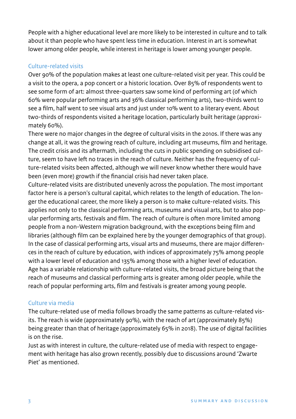People with a higher educational level are more likely to be interested in culture and to talk about it than people who have spent less time in education. Interest in art is somewhat lower among older people, while interest in heritage is lower among younger people.

## Culture-related visits

Over 90% of the population makes at least one culture-related visit per year. This could be a visit to the opera, a pop concert or a historic location. Over 85% of respondents went to see some form of art: almost three-quarters saw some kind of performing art (of which 60% were popular performing arts and 36% classical performing arts), two-thirds went to see a film, half went to see visual arts and just under 10% went to a literary event. About two-thirds of respondents visited a heritage location, particularly built heritage (approximately 60%).

There were no major changes in the degree of cultural visits in the 2010s. If there was any change at all, it was the growing reach of culture, including art museums, film and heritage. The credit crisis and its aftermath, including the cuts in public spending on subsidised culture, seem to have left no traces in the reach of culture. Neither has the frequency of culture-related visits been affected, although we will never know whether there would have been (even more) growth if the financial crisis had never taken place.

Culture-related visits are distributed unevenly across the population. The most important factor here is a person's cultural capital, which relates to the length of education. The longer the educational career, the more likely a person is to make culture-related visits. This applies not only to the classical performing arts, museums and visual arts, but to also popular performing arts, festivals and film. The reach of culture is often more limited among people from a non-Western migration background, with the exceptions being film and libraries (although film can be explained here by the younger demographics of that group). In the case of classical performing arts, visual arts and museums, there are major differences in the reach of culture by education, with indices of approximately 75% among people with a lower level of education and 135% among those with a higher level of education. Age has a variable relationship with culture-related visits, the broad picture being that the reach of museums and classical performing arts is greater among older people, while the reach of popular performing arts, film and festivals is greater among young people.

### Culture via media

The culture-related use of media follows broadly the same patterns as culture-related visits. The reach is wide (approximately 90%), with the reach of art (approximately 85%) being greater than that of heritage (approximately 65% in 2018). The use of digital facilities is on the rise.

Just as with interest in culture, the culture-related use of media with respect to engagement with heritage has also grown recently, possibly due to discussions around 'Zwarte Piet' as mentioned.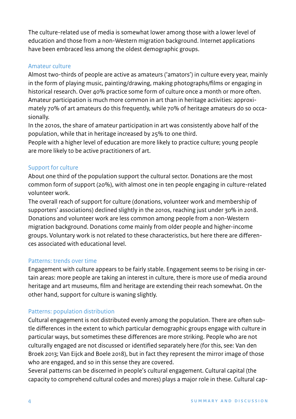The culture-related use of media is somewhat lower among those with a lower level of education and those from a non-Western migration background. Internet applications have been embraced less among the oldest demographic groups.

#### Amateur culture

Almost two-thirds of people are active as amateurs ('amators') in culture every year, mainly in the form of playing music, painting/drawing, making photographs/films or engaging in historical research. Over 40% practice some form of culture once a month or more often. Amateur participation is much more common in art than in heritage activities: approximately 70% of art amateurs do this frequently, while 70% of heritage amateurs do so occasionally.

In the 2010s, the share of amateur participation in art was consistently above half of the population, while that in heritage increased by 25% to one third.

People with a higher level of education are more likely to practice culture; young people are more likely to be active practitioners of art.

### Support for culture

About one third of the population support the cultural sector. Donations are the most common form of support (20%), with almost one in ten people engaging in culture-related volunteer work.

The overall reach of support for culture (donations, volunteer work and membership of supporters' associations) declined slightly in the 2010s, reaching just under 30% in 2018. Donations and volunteer work are less common among people from a non-Western migration background. Donations come mainly from older people and higher-income groups. Voluntary work is not related to these characteristics, but here there are differences associated with educational level.

#### Patterns: trends over time

Engagement with culture appears to be fairly stable. Engagement seems to be rising in certain areas: more people are taking an interest in culture, there is more use of media around heritage and art museums, film and heritage are extending their reach somewhat. On the other hand, support for culture is waning slightly.

### Patterns: population distribution

Cultural engagement is not distributed evenly among the population. There are often subtle differences in the extent to which particular demographic groups engage with culture in particular ways, but sometimes these differences are more striking. People who are not culturally engaged are not discussed or identified separately here (for this, see: Van den Broek 2013; Van Eijck and Boele 2018), but in fact they represent the mirror image of those who are engaged, and so in this sense they are covered.

Several patterns can be discerned in people's cultural engagement. Cultural capital (the capacity to comprehend cultural codes and mores) plays a major role in these. Cultural cap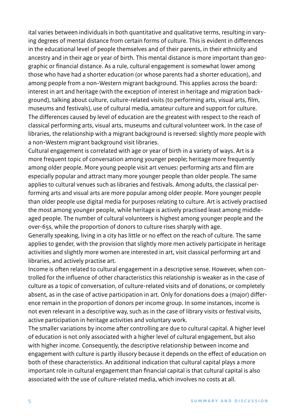ital varies between individuals in both quantitative and qualitative terms, resulting in varying degrees of mental distance from certain forms of culture. This is evident in differences in the educational level of people themselves and of their parents, in their ethnicity and ancestry and in their age or year of birth. This mental distance is more important than geographic or financial distance. As a rule, cultural engagement is somewhat lower among those who have had a shorter education (or whose parents had a shorter education), and among people from a non-Western migrant background. This applies across the board: interest in art and heritage (with the exception of interest in heritage and migration background), talking about culture, culture-related visits (to performing arts, visual arts, film, museums and festivals), use of cultural media, amateur culture and support for culture. The differences caused by level of education are the greatest with respect to the reach of classical performing arts, visual arts, museums and cultural volunteer work. In the case of libraries, the relationship with a migrant background is reversed: slightly more people with a non-Western migrant background visit libraries.

Cultural engagement is correlated with age or year of birth in a variety of ways. Art is a more frequent topic of conversation among younger people; heritage more frequently among older people. More young people visit art venues: performing arts and film are especially popular and attract many more younger people than older people. The same applies to cultural venues such as libraries and festivals. Among adults, the classical performing arts and visual arts are more popular among older people. More younger people than older people use digital media for purposes relating to culture. Art is actively practised the most among younger people, while heritage is actively practised least among middleaged people. The number of cultural volunteers is highest among younger people and the over-65s, while the proportion of donors to culture rises sharply with age.

Generally speaking, living in a city has little or no effect on the reach of culture. The same applies to gender, with the provision that slightly more men actively participate in heritage activities and slightly more women are interested in art, visit classical performing art and libraries, and actively practise art.

Income is often related to cultural engagement in a descriptive sense. However, when controlled for the influence of other characteristics this relationship is weaker as in the case of culture as a topic of conversation, of culture-related visits and of donations, or completely absent, as in the case of active participation in art. Only for donations does a (major) difference remain in the proportion of donors per income group. In some instances, income is not even relevant in a descriptive way, such as in the case of library visits or festival visits, active participation in heritage activities and voluntary work.

The smaller variations by income after controlling are due to cultural capital. A higher level of education is not only associated with a higher level of cultural engagement, but also with higher income. Consequently, the descriptive relationship between income and engagement with culture is partly illusory because it depends on the effect of education on both of these characteristics. An additional indication that cultural capital plays a more important role in cultural engagement than financial capital is that cultural capital is also associated with the use of culture-related media, which involves no costs at all.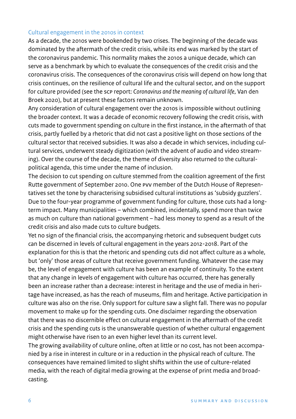#### Cultural engagement in the 2010s in context

As a decade, the 2010s were bookended by two crises. The beginning of the decade was dominated by the aftermath of the credit crisis, while its end was marked by the start of the coronavirus pandemic. This normality makes the 2010s a unique decade, which can serve as a benchmark by which to evaluate the consequences of the credit crisis and the coronavirus crisis. The consequences of the coronavirus crisis will depend on how long that crisis continues, on the resilience of cultural life and the cultural sector, and on the support for culture provided (see the SCP report: *Coronavirus and the meaning of cultural life*, Van den Broek 2020), but at present these factors remain unknown.

Any consideration of cultural engagement over the 2010s is impossible without outlining the broader context. It was a decade of economic recovery following the credit crisis, with cuts made to government spending on culture in the first instance, in the aftermath of that crisis, partly fuelled by a rhetoric that did not cast a positive light on those sections of the cultural sector that received subsidies. It was also a decade in which services, including cultural services, underwent steady digitization (with the advent of audio and video streaming). Over the course of the decade, the theme of diversity also returned to the culturalpolitical agenda, this time under the name of inclusion.

The decision to cut spending on culture stemmed from the coalition agreement of the first Rutte government of September 2010. One PVV member of the Dutch House of Representatives set the tone by characterising subsidised cultural institutions as 'subsidy guzzlers'. Due to the four-year programme of government funding for culture, those cuts had a longterm impact. Many municipalities – which combined, incidentally, spend more than twice as much on culture than national government – had less money to spend as a result of the credit crisis and also made cuts to culture budgets.

Yet no sign of the financial crisis, the accompanying rhetoric and subsequent budget cuts can be discerned in levels of cultural engagement in the years 2012-2018. Part of the explanation for this is that the rhetoric and spending cuts did not affect culture as a whole, but 'only' those areas of culture that receive government funding. Whatever the case may be, the level of engagement with culture has been an example of continuity. To the extent that any change in levels of engagement with culture has occurred, there has generally been an increase rather than a decrease: interest in heritage and the use of media in heritage have increased, as has the reach of museums, film and heritage. Active participation in culture was also on the rise. Only support for culture saw a slight fall. There was no popular movement to make up for the spending cuts. One disclaimer regarding the observation that there was no discernible effect on cultural engagement in the aftermath of the credit crisis and the spending cuts is the unanswerable question of whether cultural engagement might otherwise have risen to an even higher level than its current level.

The growing availability of culture online, often at little or no cost, has not been accompanied by a rise in interest in culture or in a reduction in the physical reach of culture. The consequences have remained limited to slight shifts within the use of culture-related media, with the reach of digital media growing at the expense of print media and broadcasting.